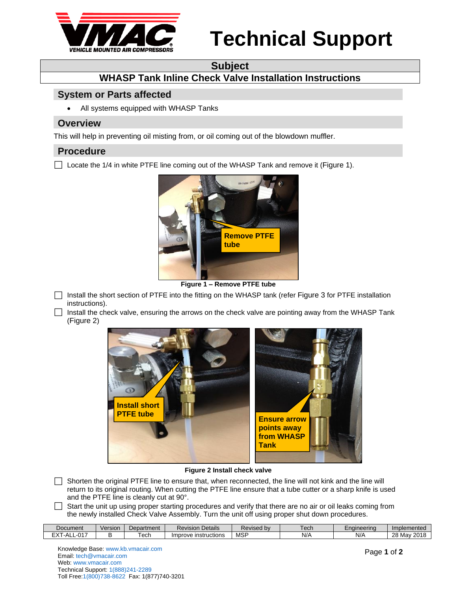

# **Technical Support**

### **Subject**

# **WHASP Tank Inline Check Valve Installation Instructions**

### **System or Parts affected**

All systems equipped with WHASP Tanks

#### **Overview**

This will help in preventing oil misting from, or oil coming out of the blowdown muffler.

#### **Procedure**

 $\Box$  Locate the 1/4 in white PTFE line coming out of the WHASP Tank and remove it ([Figure 1](#page-0-0)).



**Figure 1 – Remove PTFE tube**

<span id="page-0-0"></span>Install the short section of PTFE into the fitting on the WHASP tank (refer [Figure 3](#page-1-0) for PTFE installation instructions).

 $\Box$  Install the check valve, ensuring the arrows on the check valve are pointing away from the WHASP Tank ([Figure 2](#page-0-1))



#### **Figure 2 Install check valve**

- <span id="page-0-1"></span> $\Box$  Shorten the original PTFE line to ensure that, when reconnected, the line will not kink and the line will return to its original routing. When cutting the PTFE line ensure that a tube cutter or a sharp knife is used and the PTFE line is cleanly cut at 90°.
- $\Box$  Start the unit up using proper starting procedures and verify that there are no air or oil leaks coming from the newly installed Check Valve Assembly. Turn the unit off using proper shut down procedures.

| Document                     | Version | Department | <b>Revision Details</b>  | Revised bv | . och<br>GUL. | Enaineerina | 'mpi.<br>plemented                             |
|------------------------------|---------|------------|--------------------------|------------|---------------|-------------|------------------------------------------------|
| -017<br>- 75<br>'-ALL<br>∟∧⊣ |         | ech        | Improve<br>⊹instructions | <b>MSP</b> | N/t           | N/A         | ററ<br>$\mathcal{L}$ 2011<br>Mav<br>20<br>. 201 |